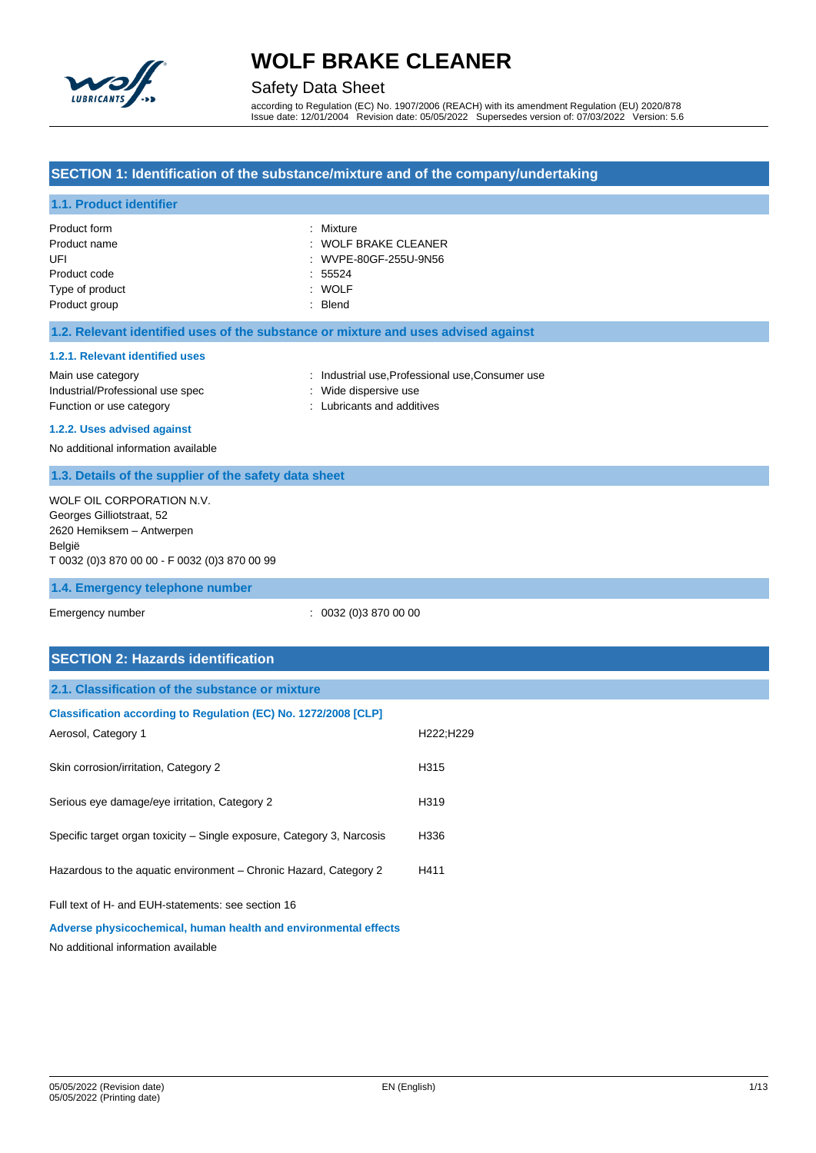

## Safety Data Sheet

according to Regulation (EC) No. 1907/2006 (REACH) with its amendment Regulation (EU) 2020/878 Issue date: 12/01/2004 Revision date: 05/05/2022 Supersedes version of: 07/03/2022 Version: 5.6

### **SECTION 1: Identification of the substance/mixture and of the company/undertaking**

#### **1.1. Product identifier**

| Product form    | : Mixture              |
|-----------------|------------------------|
| Product name    | $:$ WOLF BRAKE CLEANER |
| UFL             | : WVPE-80GF-255U-9N56  |
| Product code    | : 55524                |
| Type of product | : WOLF                 |
| Product group   | : Blend                |

#### **1.2. Relevant identified uses of the substance or mixture and uses advised against**

#### **1.2.1. Relevant identified uses**

Main use category **industrial use, Professional use, Consumer use** category industrial use, Professional use, Consumer use Industrial/Professional use spec : Wide dispersive use Function or use category **Exercise 20** Function or use category **in the set of the case of the contract of the contract of the contract of the contract of the contract of the contract of the contract of the contract of the** 

- 
- 

#### **1.2.2. Uses advised against**

No additional information available

#### **1.3. Details of the supplier of the safety data sheet**

WOLF OIL CORPORATION N.V. Georges Gilliotstraat, 52 2620 Hemiksem – Antwerpen België T 0032 (0)3 870 00 00 - F 0032 (0)3 870 00 99

#### **1.4. Emergency telephone number**

Emergency number : 0032 (0)3 870 00 00

| <b>SECTION 2: Hazards identification</b>                                                                              |           |
|-----------------------------------------------------------------------------------------------------------------------|-----------|
| 2.1. Classification of the substance or mixture                                                                       |           |
| Classification according to Regulation (EC) No. 1272/2008 [CLP]<br>Aerosol, Category 1                                | H222;H229 |
| Skin corrosion/irritation, Category 2                                                                                 | H315      |
| Serious eye damage/eye irritation, Category 2                                                                         | H319      |
| Specific target organ toxicity – Single exposure, Category 3, Narcosis                                                | H336      |
| Hazardous to the aquatic environment - Chronic Hazard, Category 2                                                     | H411      |
| Full text of H- and EUH-statements: see section 16<br>Adverse physicochemical, human health and environmental effects |           |

No additional information available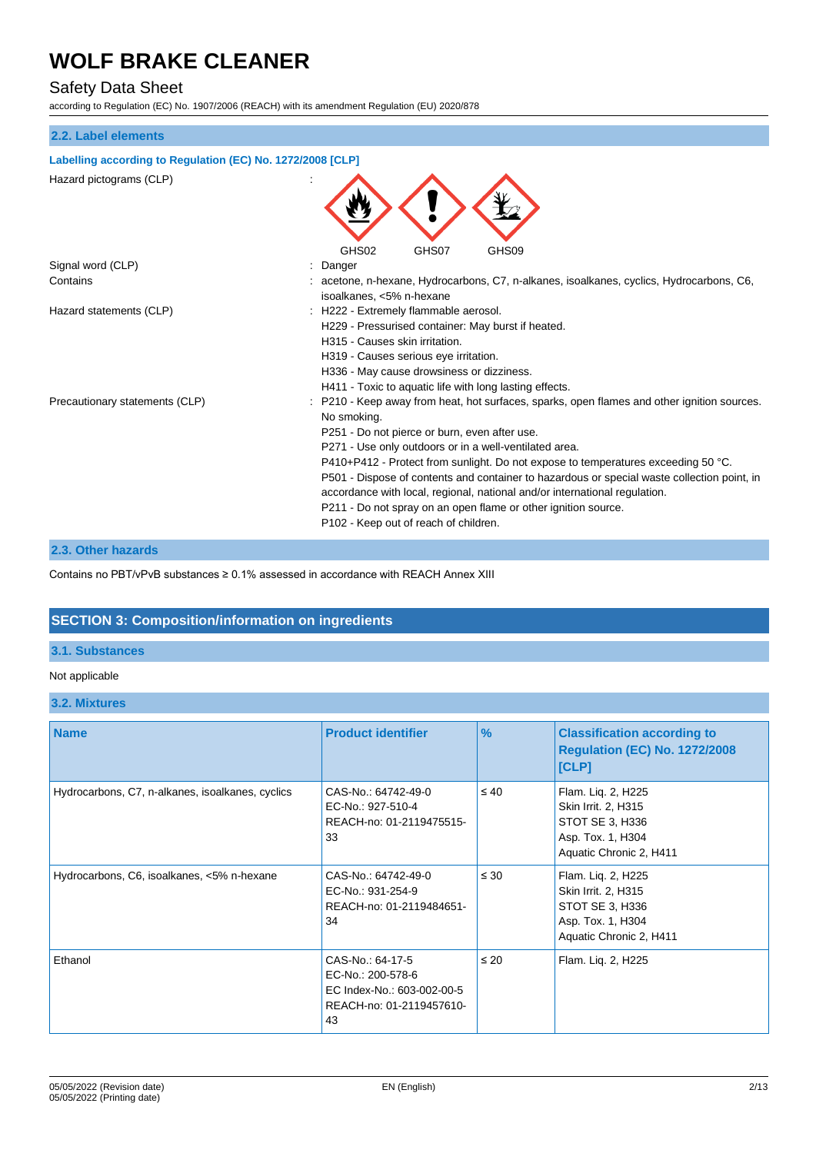## Safety Data Sheet

according to Regulation (EC) No. 1907/2006 (REACH) with its amendment Regulation (EU) 2020/878

#### **2.2. Label elements**

## **Labelling according to Regulation (EC) No. 1272/2008 [CLP]** Hazard pictograms (CLP) : GHS02 GHS07 GHS09 Signal word (CLP)  $\qquad \qquad$ : Danger Contains : acetone, n-hexane, Hydrocarbons, C7, n-alkanes, isoalkanes, cyclics, Hydrocarbons, C6, isoalkanes, <5% n-hexane Hazard statements (CLP)  $\qquad \qquad$  : H222 - Extremely flammable aerosol. H229 - Pressurised container: May burst if heated. H315 - Causes skin irritation. H319 - Causes serious eye irritation. H336 - May cause drowsiness or dizziness. H411 - Toxic to aquatic life with long lasting effects. Precautionary statements (CLP) : P210 - Keep away from heat, hot surfaces, sparks, open flames and other ignition sources. No smoking. P251 - Do not pierce or burn, even after use. P271 - Use only outdoors or in a well-ventilated area. P410+P412 - Protect from sunlight. Do not expose to temperatures exceeding 50 °C. P501 - Dispose of contents and container to hazardous or special waste collection point, in accordance with local, regional, national and/or international regulation. P211 - Do not spray on an open flame or other ignition source. P102 - Keep out of reach of children.

#### **2.3. Other hazards**

Contains no PBT/vPvB substances ≥ 0.1% assessed in accordance with REACH Annex XIII

## **SECTION 3: Composition/information on ingredients**

### **3.1. Substances**

#### Not applicable

#### **3.2. Mixtures**

| <b>Name</b>                                      | <b>Product identifier</b>                                                                             | $\frac{9}{6}$ | <b>Classification according to</b><br><b>Regulation (EC) No. 1272/2008</b><br>[CLP]                          |
|--------------------------------------------------|-------------------------------------------------------------------------------------------------------|---------------|--------------------------------------------------------------------------------------------------------------|
| Hydrocarbons, C7, n-alkanes, isoalkanes, cyclics | CAS-No.: 64742-49-0<br>EC-No.: 927-510-4<br>REACH-no: 01-2119475515-<br>33                            | $\leq 40$     | Flam. Liq. 2, H225<br>Skin Irrit. 2, H315<br>STOT SE 3, H336<br>Asp. Tox. 1, H304<br>Aquatic Chronic 2, H411 |
| Hydrocarbons, C6, isoalkanes, <5% n-hexane       | CAS-No.: 64742-49-0<br>EC-No.: 931-254-9<br>REACH-no: 01-2119484651-<br>34                            | $\leq 30$     | Flam. Liq. 2, H225<br>Skin Irrit. 2, H315<br>STOT SE 3, H336<br>Asp. Tox. 1, H304<br>Aquatic Chronic 2, H411 |
| Ethanol                                          | CAS-No.: 64-17-5<br>EC-No.: 200-578-6<br>EC Index-No.: 603-002-00-5<br>REACH-no: 01-2119457610-<br>43 | $\leq 20$     | Flam. Lig. 2, H225                                                                                           |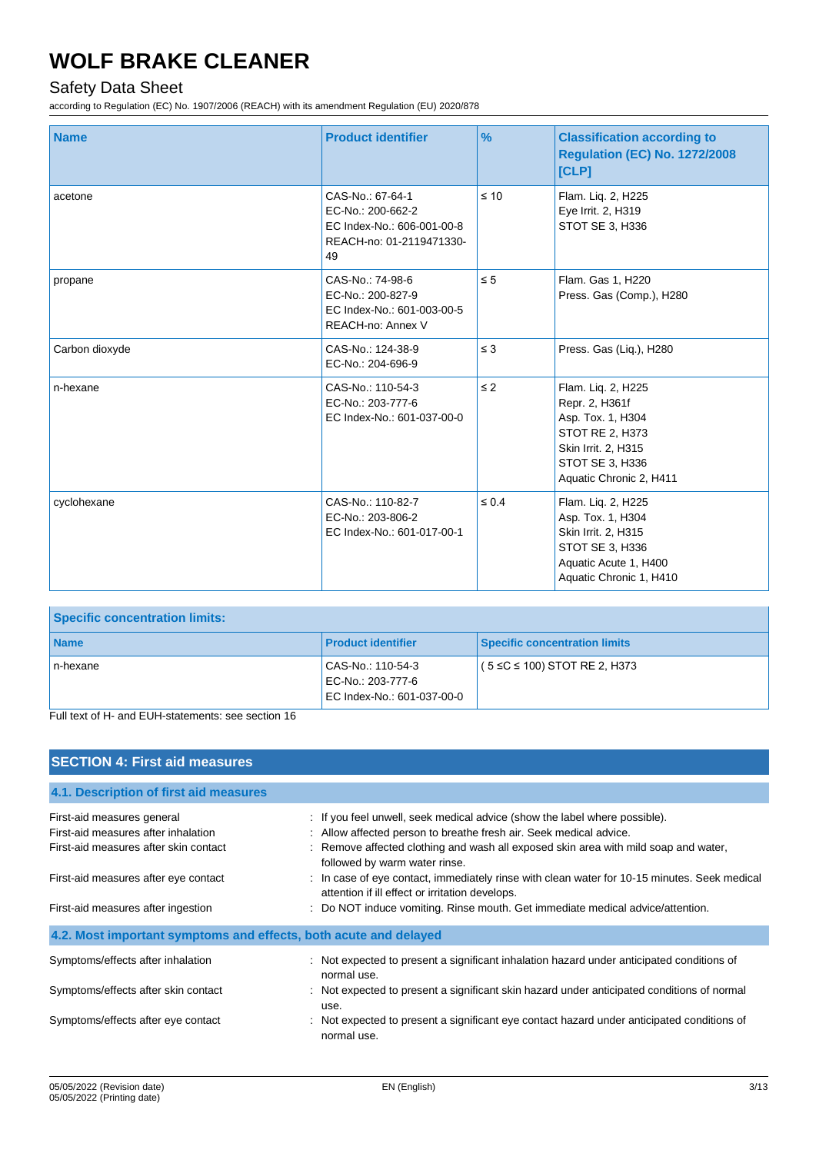## Safety Data Sheet

according to Regulation (EC) No. 1907/2006 (REACH) with its amendment Regulation (EU) 2020/878

| <b>Name</b>    | <b>Product identifier</b>                                                                             | $\frac{9}{6}$ | <b>Classification according to</b><br><b>Regulation (EC) No. 1272/2008</b><br>[CLP]                                                               |
|----------------|-------------------------------------------------------------------------------------------------------|---------------|---------------------------------------------------------------------------------------------------------------------------------------------------|
| acetone        | CAS-No.: 67-64-1<br>EC-No.: 200-662-2<br>EC Index-No.: 606-001-00-8<br>REACH-no: 01-2119471330-<br>49 | $\leq 10$     | Flam. Liq. 2, H225<br>Eye Irrit. 2, H319<br>STOT SE 3, H336                                                                                       |
| propane        | CAS-No.: 74-98-6<br>EC-No.: 200-827-9<br>EC Index-No.: 601-003-00-5<br>REACH-no: Annex V              | $\leq 5$      | Flam. Gas 1, H220<br>Press. Gas (Comp.), H280                                                                                                     |
| Carbon dioxyde | CAS-No.: 124-38-9<br>EC-No.: 204-696-9                                                                | $\leq 3$      | Press. Gas (Liq.), H280                                                                                                                           |
| n-hexane       | CAS-No.: 110-54-3<br>EC-No.: 203-777-6<br>EC Index-No.: 601-037-00-0                                  | $\leq$ 2      | Flam. Liq. 2, H225<br>Repr. 2, H361f<br>Asp. Tox. 1, H304<br>STOT RE 2, H373<br>Skin Irrit. 2, H315<br>STOT SE 3, H336<br>Aquatic Chronic 2, H411 |
| cyclohexane    | CAS-No.: 110-82-7<br>EC-No.: 203-806-2<br>EC Index-No.: 601-017-00-1                                  | $\leq 0.4$    | Flam. Liq. 2, H225<br>Asp. Tox. 1, H304<br>Skin Irrit. 2, H315<br>STOT SE 3, H336<br>Aquatic Acute 1, H400<br>Aquatic Chronic 1, H410             |

| <b>Specific concentration limits:</b> |                                                                      |                                      |
|---------------------------------------|----------------------------------------------------------------------|--------------------------------------|
| <b>Name</b>                           | <b>Product identifier</b>                                            | <b>Specific concentration limits</b> |
| n-hexane                              | CAS-No.: 110-54-3<br>EC-No.: 203-777-6<br>EC Index-No.: 601-037-00-0 | $(5 ≤ C ≤ 100)$ STOT RE 2, H373      |

Full text of H- and EUH-statements: see section 16

| <b>SECTION 4: First aid measures</b>                             |                                                                                                                                                 |
|------------------------------------------------------------------|-------------------------------------------------------------------------------------------------------------------------------------------------|
|                                                                  |                                                                                                                                                 |
| 4.1. Description of first aid measures                           |                                                                                                                                                 |
| First-aid measures general                                       | : If you feel unwell, seek medical advice (show the label where possible).                                                                      |
| First-aid measures after inhalation                              | : Allow affected person to breathe fresh air. Seek medical advice.                                                                              |
| First-aid measures after skin contact                            | : Remove affected clothing and wash all exposed skin area with mild soap and water,<br>followed by warm water rinse.                            |
| First-aid measures after eye contact                             | : In case of eye contact, immediately rinse with clean water for 10-15 minutes. Seek medical<br>attention if ill effect or irritation develops. |
| First-aid measures after ingestion                               | : Do NOT induce vomiting. Rinse mouth. Get immediate medical advice/attention.                                                                  |
| 4.2. Most important symptoms and effects, both acute and delayed |                                                                                                                                                 |
| Symptoms/effects after inhalation                                | : Not expected to present a significant inhalation hazard under anticipated conditions of<br>normal use.                                        |
| Symptoms/effects after skin contact                              | : Not expected to present a significant skin hazard under anticipated conditions of normal<br>use.                                              |
| Symptoms/effects after eye contact                               | : Not expected to present a significant eye contact hazard under anticipated conditions of<br>normal use.                                       |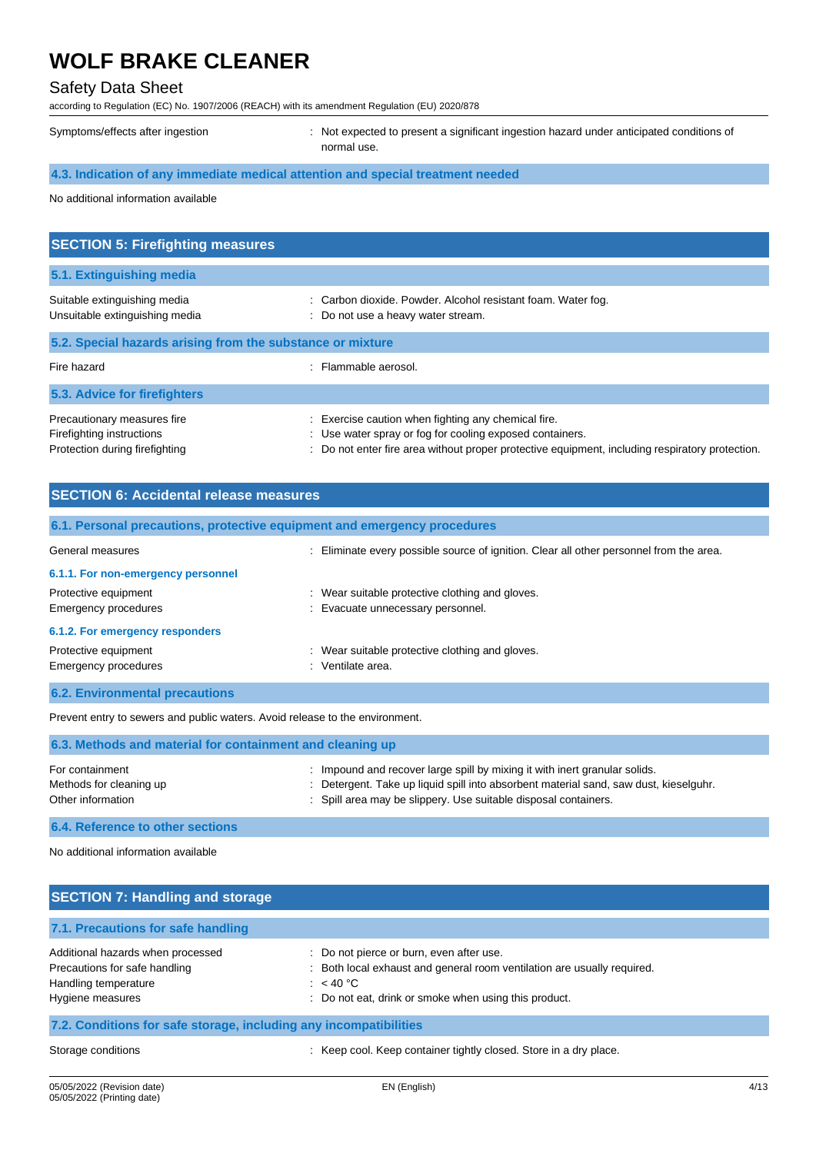### Safety Data Sheet

according to Regulation (EC) No. 1907/2006 (REACH) with its amendment Regulation (EU) 2020/878

Symptoms/effects after ingestion : Not expected to present a significant ingestion hazard under anticipated conditions of normal use.

## **4.3. Indication of any immediate medical attention and special treatment needed**

No additional information available

| <b>SECTION 5: Firefighting measures</b>                                                    |                                                                                                                                                                                                                    |  |  |
|--------------------------------------------------------------------------------------------|--------------------------------------------------------------------------------------------------------------------------------------------------------------------------------------------------------------------|--|--|
| 5.1. Extinguishing media                                                                   |                                                                                                                                                                                                                    |  |  |
| Suitable extinguishing media<br>Unsuitable extinguishing media                             | : Carbon dioxide. Powder. Alcohol resistant foam. Water fog.<br>: Do not use a heavy water stream.                                                                                                                 |  |  |
| 5.2. Special hazards arising from the substance or mixture                                 |                                                                                                                                                                                                                    |  |  |
| Fire hazard                                                                                | : Flammable aerosol.                                                                                                                                                                                               |  |  |
| 5.3. Advice for firefighters                                                               |                                                                                                                                                                                                                    |  |  |
| Precautionary measures fire<br>Firefighting instructions<br>Protection during firefighting | : Exercise caution when fighting any chemical fire.<br>: Use water spray or fog for cooling exposed containers.<br>: Do not enter fire area without proper protective equipment, including respiratory protection. |  |  |

| <b>SECTION 6: Accidental release measures</b>       |                                                                                         |  |  |
|-----------------------------------------------------|-----------------------------------------------------------------------------------------|--|--|
|                                                     | 6.1. Personal precautions, protective equipment and emergency procedures                |  |  |
| General measures                                    | : Eliminate every possible source of ignition. Clear all other personnel from the area. |  |  |
| 6.1.1. For non-emergency personnel                  |                                                                                         |  |  |
| Protective equipment<br><b>Emergency procedures</b> | : Wear suitable protective clothing and gloves.<br>: Evacuate unnecessary personnel.    |  |  |
| 6.1.2. For emergency responders                     |                                                                                         |  |  |
| Protective equipment<br><b>Emergency procedures</b> | : Wear suitable protective clothing and gloves.<br>: Ventilate area.                    |  |  |
| <b>6.2. Environmental precautions</b>               |                                                                                         |  |  |

Prevent entry to sewers and public waters. Avoid release to the environment.

| 6.3. Methods and material for containment and cleaning up       |                                                                                                                                                                                                                                        |
|-----------------------------------------------------------------|----------------------------------------------------------------------------------------------------------------------------------------------------------------------------------------------------------------------------------------|
| For containment<br>Methods for cleaning up<br>Other information | : Impound and recover large spill by mixing it with inert granular solids.<br>: Detergent. Take up liquid spill into absorbent material sand, saw dust, kieselguhr.<br>: Spill area may be slippery. Use suitable disposal containers. |
| 6.4. Reference to other sections                                |                                                                                                                                                                                                                                        |

No additional information available

| <b>SECTION 7: Handling and storage</b>                                                                         |                                                                                                                                                                                             |  |  |
|----------------------------------------------------------------------------------------------------------------|---------------------------------------------------------------------------------------------------------------------------------------------------------------------------------------------|--|--|
| 7.1. Precautions for safe handling                                                                             |                                                                                                                                                                                             |  |  |
| Additional hazards when processed<br>Precautions for safe handling<br>Handling temperature<br>Hygiene measures | : Do not pierce or burn, even after use.<br>: Both local exhaust and general room ventilation are usually required.<br>: $< 40 °C$<br>: Do not eat, drink or smoke when using this product. |  |  |
| 7.2. Conditions for safe storage, including any incompatibilities                                              |                                                                                                                                                                                             |  |  |
| Storage conditions                                                                                             | : Keep cool. Keep container tightly closed. Store in a dry place.                                                                                                                           |  |  |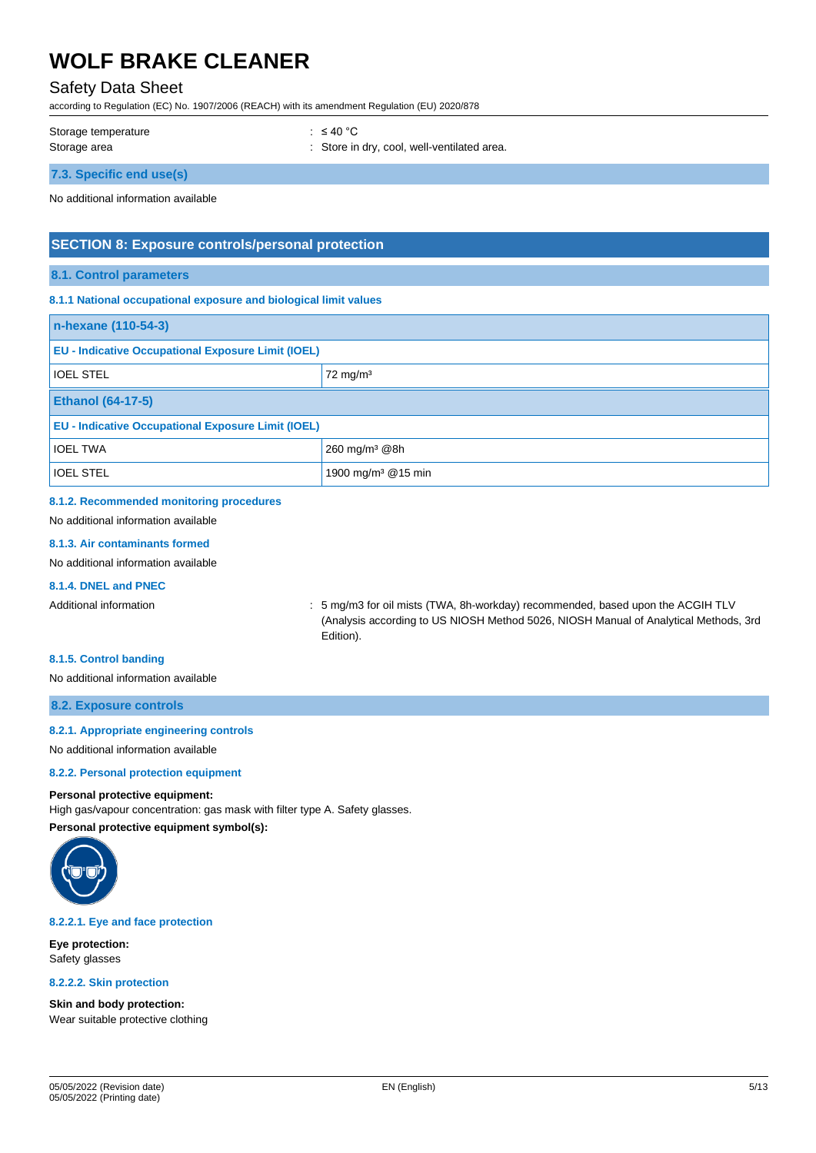## Safety Data Sheet

according to Regulation (EC) No. 1907/2006 (REACH) with its amendment Regulation (EU) 2020/878

Storage temperature : ≤ 40 °C

Storage area **in the store in the store in dry, cool, well-ventilated area.** 

**7.3. Specific end use(s)**

No additional information available

### **SECTION 8: Exposure controls/personal protection**

#### **8.1. Control parameters**

#### **8.1.1 National occupational exposure and biological limit values**

| n-hexane (110-54-3)                                       |                                |  |
|-----------------------------------------------------------|--------------------------------|--|
| <b>EU - Indicative Occupational Exposure Limit (IOEL)</b> |                                |  |
| <b>IOEL STEL</b>                                          | $72 \text{ mg/m}^3$            |  |
| <b>Ethanol (64-17-5)</b>                                  |                                |  |
| <b>EU - Indicative Occupational Exposure Limit (IOEL)</b> |                                |  |
| <b>IOEL TWA</b>                                           | 260 mg/m <sup>3</sup> @8h      |  |
| <b>IOEL STEL</b>                                          | 1900 mg/m <sup>3</sup> @15 min |  |

### **8.1.2. Recommended monitoring procedures**

No additional information available

#### **8.1.3. Air contaminants formed**

No additional information available

#### **8.1.4. DNEL and PNEC**

Additional information **information** : 5 mg/m3 for oil mists (TWA, 8h-workday) recommended, based upon the ACGIH TLV (Analysis according to US NIOSH Method 5026, NIOSH Manual of Analytical Methods, 3rd Edition).

#### **8.1.5. Control banding**

No additional information available

#### **8.2. Exposure controls**

#### **8.2.1. Appropriate engineering controls**

No additional information available

#### **8.2.2. Personal protection equipment**

#### **Personal protective equipment:**

High gas/vapour concentration: gas mask with filter type A. Safety glasses. **Personal protective equipment symbol(s):**



**8.2.2.1. Eye and face protection**

**Eye protection:** Safety glasses

**8.2.2.2. Skin protection**

**Skin and body protection:** Wear suitable protective clothing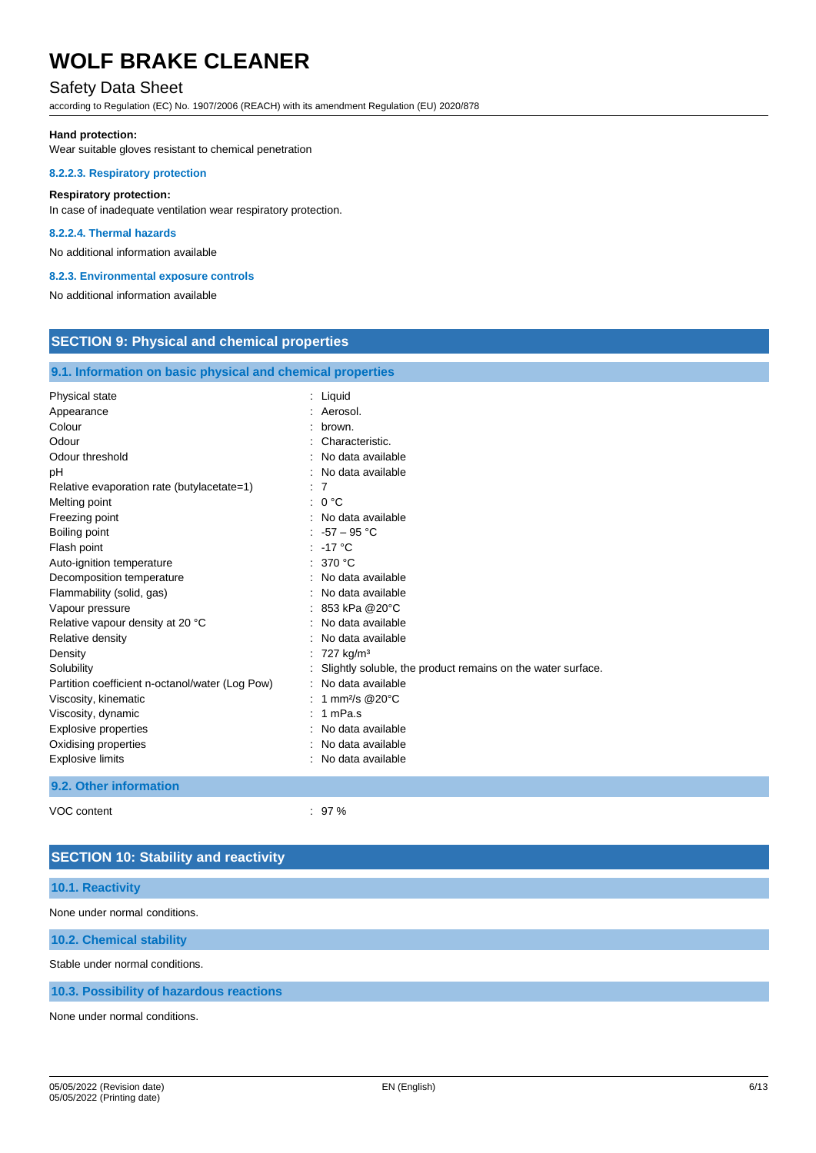### Safety Data Sheet

according to Regulation (EC) No. 1907/2006 (REACH) with its amendment Regulation (EU) 2020/878

#### **Hand protection:**

Wear suitable gloves resistant to chemical penetration

#### **8.2.2.3. Respiratory protection**

#### **Respiratory protection:**

In case of inadequate ventilation wear respiratory protection.

#### **8.2.2.4. Thermal hazards**

No additional information available

#### **8.2.3. Environmental exposure controls**

No additional information available

| <b>SECTION 9: Physical and chemical properties</b>                                                                                                                                                                                                                                                                                                                                                                                                                                                                                                                      |                                                                                                                                                                                                                                                                                                                                                                                                                                                                                                                                                    |  |
|-------------------------------------------------------------------------------------------------------------------------------------------------------------------------------------------------------------------------------------------------------------------------------------------------------------------------------------------------------------------------------------------------------------------------------------------------------------------------------------------------------------------------------------------------------------------------|----------------------------------------------------------------------------------------------------------------------------------------------------------------------------------------------------------------------------------------------------------------------------------------------------------------------------------------------------------------------------------------------------------------------------------------------------------------------------------------------------------------------------------------------------|--|
| 9.1. Information on basic physical and chemical properties                                                                                                                                                                                                                                                                                                                                                                                                                                                                                                              |                                                                                                                                                                                                                                                                                                                                                                                                                                                                                                                                                    |  |
| Physical state<br>Appearance<br>Colour<br>Odour<br>Odour threshold<br>pН<br>Relative evaporation rate (butylacetate=1)<br>Melting point<br>Freezing point<br>Boiling point<br>Flash point<br>Auto-ignition temperature<br>Decomposition temperature<br>Flammability (solid, gas)<br>Vapour pressure<br>Relative vapour density at 20 °C<br>Relative density<br>Density<br>Solubility<br>Partition coefficient n-octanol/water (Log Pow)<br>Viscosity, kinematic<br>Viscosity, dynamic<br><b>Explosive properties</b><br>Oxidising properties<br><b>Explosive limits</b> | : Liquid<br>: Aerosol.<br>brown.<br>Characteristic.<br>No data available<br>No data available<br>$\therefore$ 7<br>: 0 °C<br>: No data available<br>$-57 - 95 °C$<br>$-17^{\circ}$ C<br>: 370 $^{\circ}$ C<br>No data available<br>No data available<br>853 kPa @20°C<br>No data available<br>No data available<br>727 kg/m <sup>3</sup><br>Slightly soluble, the product remains on the water surface.<br>No data available<br>: 1 mm <sup>2</sup> /s @ 20 $^{\circ}$ C<br>1 mPa.s<br>No data available<br>No data available<br>No data available |  |
| 9.2. Other information                                                                                                                                                                                                                                                                                                                                                                                                                                                                                                                                                  |                                                                                                                                                                                                                                                                                                                                                                                                                                                                                                                                                    |  |

VOC content  $\sim$  37 %

## **SECTION 10: Stability and reactivity**

#### **10.1. Reactivity**

None under normal conditions.

#### **10.2. Chemical stability**

Stable under normal conditions.

#### **10.3. Possibility of hazardous reactions**

None under normal conditions.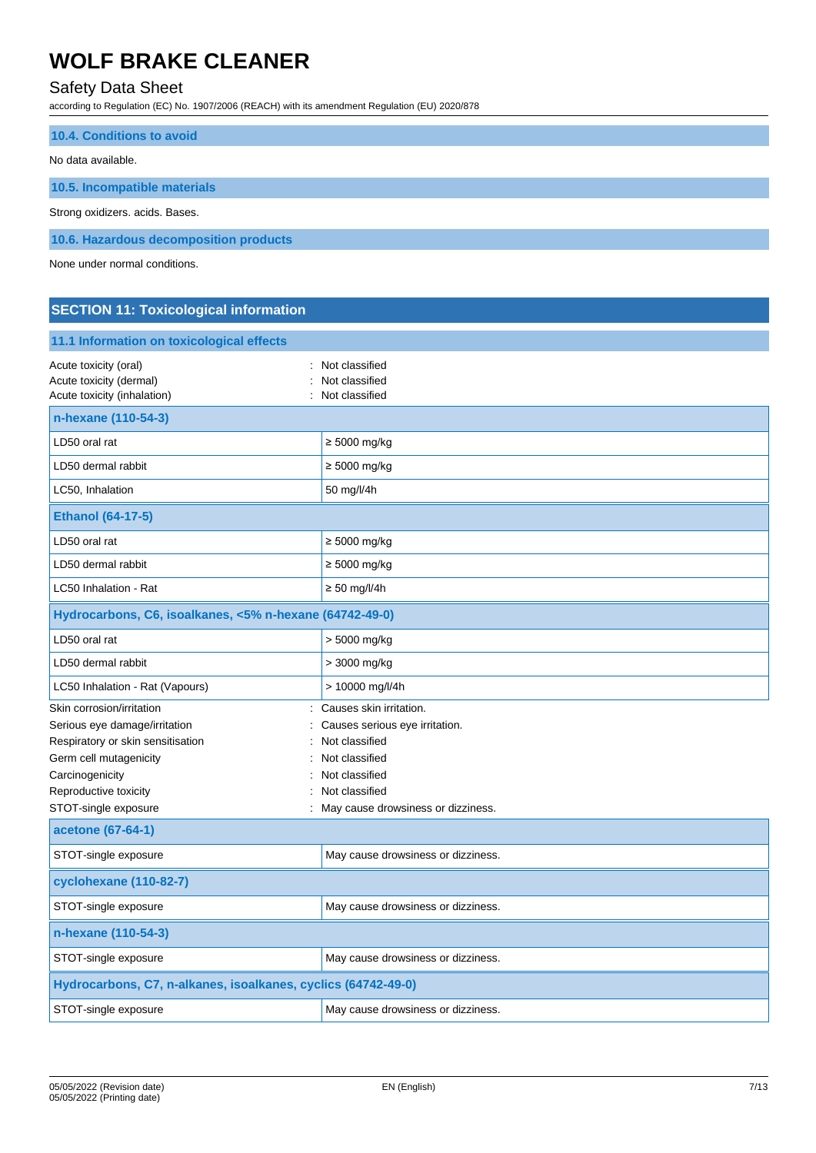## Safety Data Sheet

according to Regulation (EC) No. 1907/2006 (REACH) with its amendment Regulation (EU) 2020/878

| <b>10.4. Conditions to avoid</b>       |
|----------------------------------------|
| No data available.                     |
| 10.5. Incompatible materials           |
| Strong oxidizers. acids. Bases.        |
| 10.6. Hazardous decomposition products |

None under normal conditions.

## **SECTION 11: Toxicological information**

| 11.1 Information on toxicological effects                                       |                                                    |
|---------------------------------------------------------------------------------|----------------------------------------------------|
| Acute toxicity (oral)<br>Acute toxicity (dermal)<br>Acute toxicity (inhalation) | Not classified<br>Not classified<br>Not classified |
| n-hexane (110-54-3)                                                             |                                                    |
| LD50 oral rat                                                                   | $\geq 5000$ mg/kg                                  |
| LD50 dermal rabbit                                                              | $\geq 5000$ mg/kg                                  |
| LC50, Inhalation                                                                | 50 mg/l/4h                                         |
| <b>Ethanol (64-17-5)</b>                                                        |                                                    |
| LD50 oral rat                                                                   | $\geq 5000$ mg/kg                                  |
| LD50 dermal rabbit                                                              | $\geq 5000$ mg/kg                                  |
| LC50 Inhalation - Rat                                                           | $\geq 50$ mg/l/4h                                  |
| Hydrocarbons, C6, isoalkanes, <5% n-hexane (64742-49-0)                         |                                                    |
| LD50 oral rat                                                                   | > 5000 mg/kg                                       |
| LD50 dermal rabbit                                                              | > 3000 mg/kg                                       |
| LC50 Inhalation - Rat (Vapours)                                                 | > 10000 mg/l/4h                                    |
| Skin corrosion/irritation                                                       | Causes skin irritation.                            |
| Serious eye damage/irritation                                                   | Causes serious eye irritation.                     |
| Respiratory or skin sensitisation                                               | Not classified                                     |
| Germ cell mutagenicity                                                          | Not classified                                     |
| Carcinogenicity                                                                 | Not classified                                     |
| Reproductive toxicity                                                           | Not classified                                     |
| STOT-single exposure                                                            | May cause drowsiness or dizziness.                 |
| acetone (67-64-1)                                                               |                                                    |
| STOT-single exposure                                                            | May cause drowsiness or dizziness.                 |
| cyclohexane (110-82-7)                                                          |                                                    |
| STOT-single exposure                                                            | May cause drowsiness or dizziness.                 |
| n-hexane (110-54-3)                                                             |                                                    |
| STOT-single exposure                                                            | May cause drowsiness or dizziness.                 |
| Hydrocarbons, C7, n-alkanes, isoalkanes, cyclics (64742-49-0)                   |                                                    |
| STOT-single exposure                                                            | May cause drowsiness or dizziness.                 |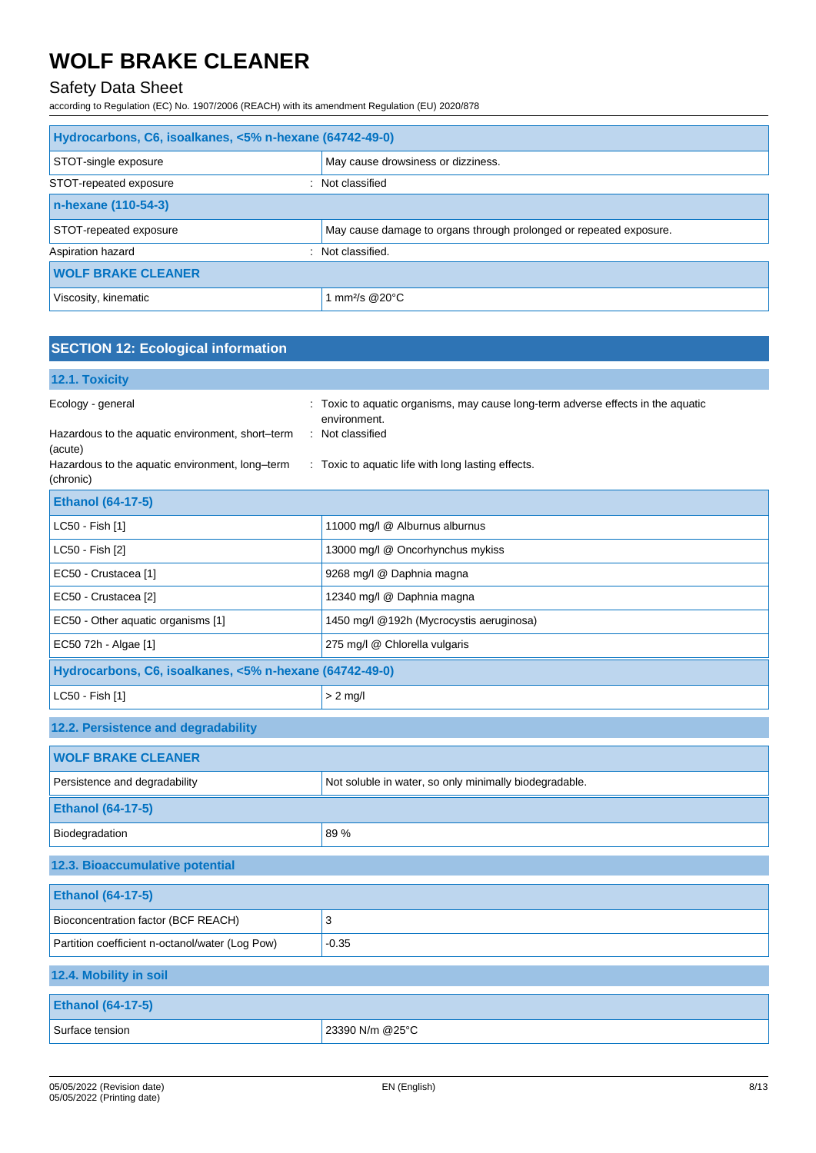## Safety Data Sheet

according to Regulation (EC) No. 1907/2006 (REACH) with its amendment Regulation (EU) 2020/878

| Hydrocarbons, C6, isoalkanes, <5% n-hexane (64742-49-0) |                                                                    |  |
|---------------------------------------------------------|--------------------------------------------------------------------|--|
| STOT-single exposure                                    | May cause drowsiness or dizziness.                                 |  |
| STOT-repeated exposure                                  | Not classified                                                     |  |
| n-hexane (110-54-3)                                     |                                                                    |  |
| STOT-repeated exposure                                  | May cause damage to organs through prolonged or repeated exposure. |  |
| Aspiration hazard                                       | : Not classified.                                                  |  |
| <b>WOLF BRAKE CLEANER</b>                               |                                                                    |  |
| Viscosity, kinematic                                    | mm <sup>2/</sup> s @20 $^{\circ}$ C                                |  |

| <b>SECTION 12: Ecological information</b>                                                                                                        |                                                                                                                                                                            |
|--------------------------------------------------------------------------------------------------------------------------------------------------|----------------------------------------------------------------------------------------------------------------------------------------------------------------------------|
| 12.1. Toxicity                                                                                                                                   |                                                                                                                                                                            |
| Ecology - general<br>Hazardous to the aquatic environment, short-term<br>(acute)<br>Hazardous to the aquatic environment, long-term<br>(chronic) | : Toxic to aquatic organisms, may cause long-term adverse effects in the aquatic<br>environment.<br>: Not classified<br>: Toxic to aquatic life with long lasting effects. |
| <b>Ethanol (64-17-5)</b>                                                                                                                         |                                                                                                                                                                            |
| LC50 - Fish [1]                                                                                                                                  | 11000 mg/l @ Alburnus alburnus                                                                                                                                             |
| LC50 - Fish [2]                                                                                                                                  | 13000 mg/l @ Oncorhynchus mykiss                                                                                                                                           |
| EC50 - Crustacea [1]                                                                                                                             | 9268 mg/l @ Daphnia magna                                                                                                                                                  |
| EC50 - Crustacea [2]                                                                                                                             | 12340 mg/l @ Daphnia magna                                                                                                                                                 |
| EC50 - Other aquatic organisms [1]                                                                                                               | 1450 mg/l @192h (Mycrocystis aeruginosa)                                                                                                                                   |
| EC50 72h - Algae [1]                                                                                                                             | 275 mg/l @ Chlorella vulgaris                                                                                                                                              |
| Hydrocarbons, C6, isoalkanes, <5% n-hexane (64742-49-0)                                                                                          |                                                                                                                                                                            |
| LC50 - Fish [1]                                                                                                                                  | $> 2$ mg/l                                                                                                                                                                 |
| 12.2. Persistence and degradability                                                                                                              |                                                                                                                                                                            |
| <b>WOLF BRAKE CLEANER</b>                                                                                                                        |                                                                                                                                                                            |
| Persistence and degradability                                                                                                                    | Not soluble in water, so only minimally biodegradable.                                                                                                                     |
| <b>Ethanol (64-17-5)</b>                                                                                                                         |                                                                                                                                                                            |
| Biodegradation                                                                                                                                   | 89 %                                                                                                                                                                       |
| 12.3. Bioaccumulative potential                                                                                                                  |                                                                                                                                                                            |
| <b>Ethanol (64-17-5)</b>                                                                                                                         |                                                                                                                                                                            |
| Bioconcentration factor (BCF REACH)                                                                                                              | 3                                                                                                                                                                          |
| Partition coefficient n-octanol/water (Log Pow)                                                                                                  | $-0.35$                                                                                                                                                                    |
| 12.4. Mobility in soil                                                                                                                           |                                                                                                                                                                            |
| <b>Ethanol (64-17-5)</b>                                                                                                                         |                                                                                                                                                                            |
| Surface tension                                                                                                                                  | 23390 N/m @25°C                                                                                                                                                            |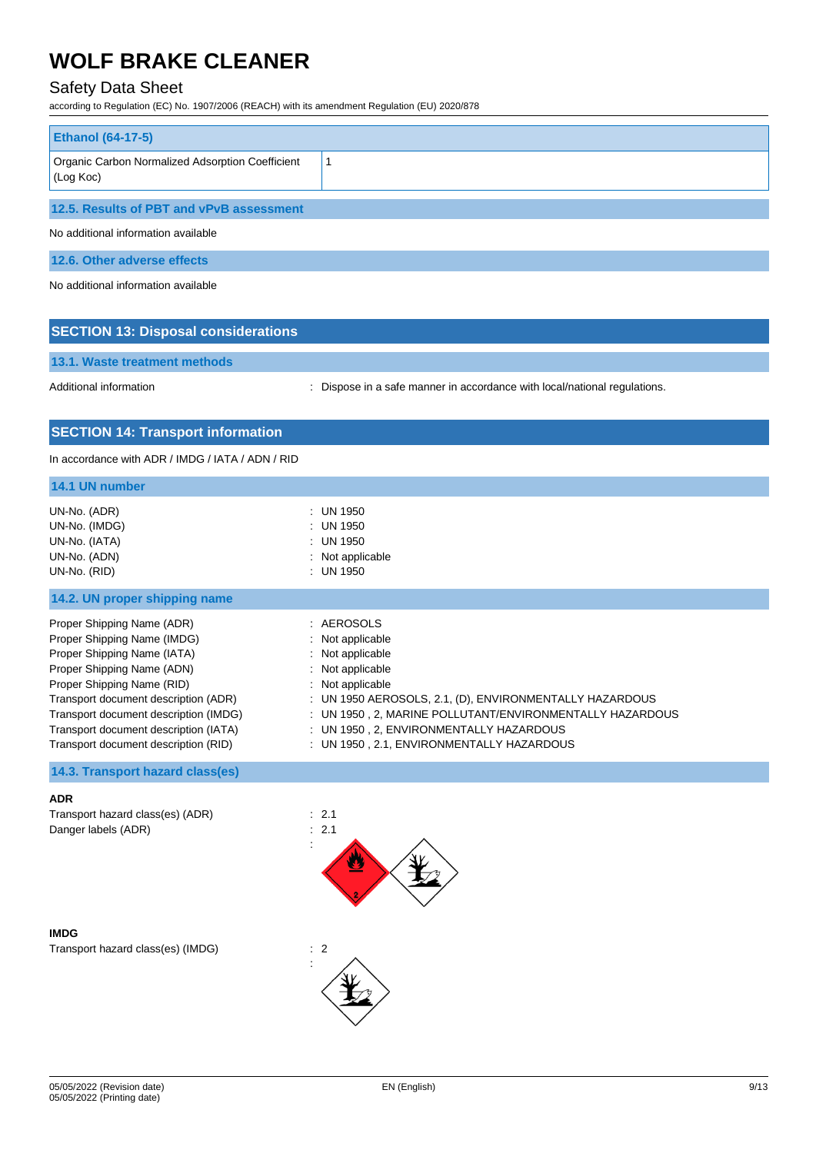## Safety Data Sheet

according to Regulation (EC) No. 1907/2006 (REACH) with its amendment Regulation (EU) 2020/878

| <b>Ethanol (64-17-5)</b>                                      |  |
|---------------------------------------------------------------|--|
| Organic Carbon Normalized Adsorption Coefficient<br>(Log Koc) |  |
| 12.5. Results of PBT and vPvB assessment                      |  |
| No additional information available                           |  |
| 12.6. Other adverse effects                                   |  |

No additional information available

### **SECTION 13: Disposal considerations**

**13.1. Waste treatment methods**

Additional information **interest in a safe manner in accordance with local/national regulations.** 

### **SECTION 14: Transport information**

In accordance with ADR / IMDG / IATA / ADN / RID

| $:$ UN 1950<br>UN-No. (ADR)<br>UN-No. (IMDG)<br>$:$ UN 1950<br>$:$ UN 1950<br>UN-No. (IATA)<br>UN-No. (ADN)<br>: Not applicable<br>UN-No. (RID)<br>: UN 1950<br>14.2. UN proper shipping name<br>Proper Shipping Name (ADR)<br>: AEROSOLS<br>Proper Shipping Name (IMDG)<br>$:$ Not applicable<br>Proper Shipping Name (IATA)<br>$:$ Not applicable<br>Proper Shipping Name (ADN)<br>: Not applicable<br>Proper Shipping Name (RID)<br>$:$ Not applicable<br>Transport document description (ADR)<br>: UN 1950 AEROSOLS, 2.1, (D), ENVIRONMENTALLY HAZARDOUS<br>Transport document description (IMDG)<br>: UN 1950, 2, MARINE POLLUTANT/ENVIRONMENTALLY HAZARDOUS<br>Transport document description (IATA)<br>: UN 1950, 2, ENVIRONMENTALLY HAZARDOUS | 14.1 UN number |  |
|-------------------------------------------------------------------------------------------------------------------------------------------------------------------------------------------------------------------------------------------------------------------------------------------------------------------------------------------------------------------------------------------------------------------------------------------------------------------------------------------------------------------------------------------------------------------------------------------------------------------------------------------------------------------------------------------------------------------------------------------------------|----------------|--|
|                                                                                                                                                                                                                                                                                                                                                                                                                                                                                                                                                                                                                                                                                                                                                       |                |  |
|                                                                                                                                                                                                                                                                                                                                                                                                                                                                                                                                                                                                                                                                                                                                                       |                |  |
| Transport document description (RID)<br>: UN 1950, 2.1, ENVIRONMENTALLY HAZARDOUS                                                                                                                                                                                                                                                                                                                                                                                                                                                                                                                                                                                                                                                                     |                |  |

### **14.3. Transport hazard class(es)**

#### **ADR**

Transport hazard class(es) (ADR) : 2.1 Danger labels (ADR) : 2.1

**IMDG** Transport hazard class(es) (IMDG) : 2



:

05/05/2022 (Revision date) 05/05/2022 (Printing date)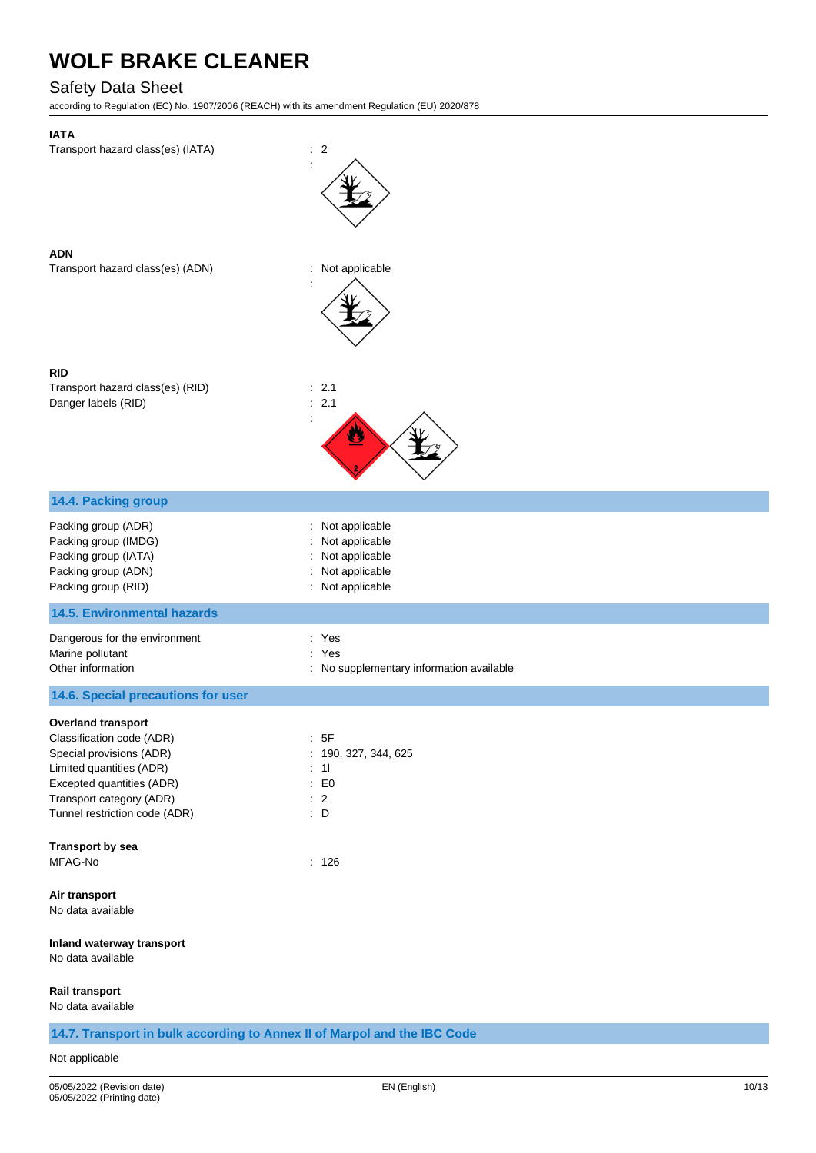## Safety Data Sheet

according to Regulation (EC) No. 1907/2006 (REACH) with its amendment Regulation (EU) 2020/878

| <b>IATA</b><br>Transport hazard class(es) (IATA)                         | $\therefore$ 2                                        |
|--------------------------------------------------------------------------|-------------------------------------------------------|
|                                                                          |                                                       |
| <b>ADN</b><br>Transport hazard class(es) (ADN)                           | Not applicable<br>t,                                  |
| <b>RID</b><br>Transport hazard class(es) (RID)<br>Danger labels (RID)    | : 2.1<br>2.1<br>÷                                     |
| 14.4. Packing group                                                      |                                                       |
| Packing group (ADR)                                                      | Not applicable                                        |
| Packing group (IMDG)<br>Packing group (IATA)                             | Not applicable<br>Not applicable                      |
| Packing group (ADN)<br>Packing group (RID)                               | Not applicable<br>Not applicable<br>÷                 |
| <b>14.5. Environmental hazards</b>                                       |                                                       |
| Dangerous for the environment                                            | : Yes                                                 |
| Marine pollutant<br>Other information                                    | ÷.<br>Yes<br>: No supplementary information available |
| 14.6. Special precautions for user                                       |                                                       |
| <b>Overland transport</b>                                                |                                                       |
| Classification code (ADR)<br>Special provisions (ADR)                    | :5F<br>: 190, 327, 344, 625                           |
| Limited quantities (ADR)                                                 | : 11                                                  |
| Excepted quantities (ADR)<br>Transport category (ADR)                    | E <sub>0</sub><br>÷.<br>$\therefore$ 2                |
| Tunnel restriction code (ADR)                                            | $\therefore$ D                                        |
| Transport by sea                                                         |                                                       |
| MFAG-No                                                                  | : 126                                                 |
| Air transport<br>No data available                                       |                                                       |
| Inland waterway transport<br>No data available                           |                                                       |
| Rail transport<br>No data available                                      |                                                       |
| 14.7. Transport in bulk according to Annex II of Marpol and the IBC Code |                                                       |

#### Not applicable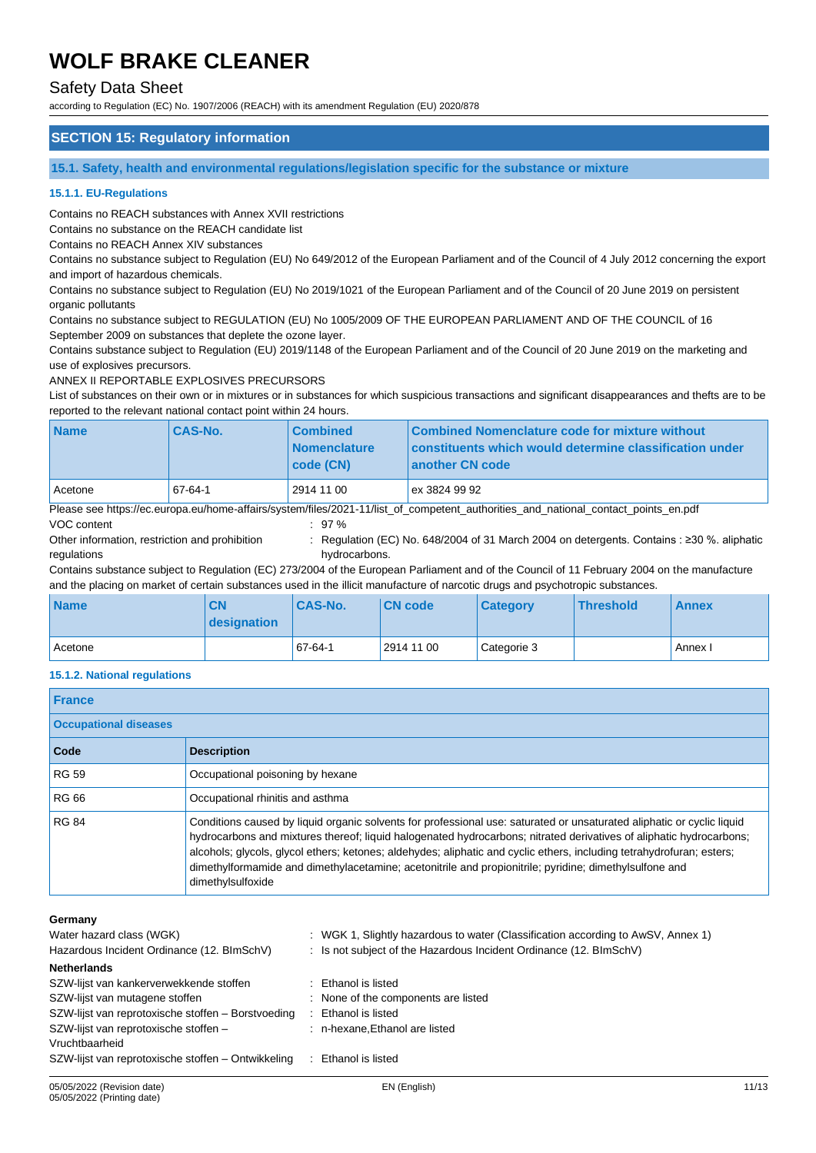### Safety Data Sheet

according to Regulation (EC) No. 1907/2006 (REACH) with its amendment Regulation (EU) 2020/878

### **SECTION 15: Regulatory information**

**15.1. Safety, health and environmental regulations/legislation specific for the substance or mixture**

#### **15.1.1. EU-Regulations**

Contains no REACH substances with Annex XVII restrictions

Contains no substance on the REACH candidate list

Contains no REACH Annex XIV substances

Contains no substance subject to Regulation (EU) No 649/2012 of the European Parliament and of the Council of 4 July 2012 concerning the export and import of hazardous chemicals.

Contains no substance subject to Regulation (EU) No 2019/1021 of the European Parliament and of the Council of 20 June 2019 on persistent organic pollutants

Contains no substance subject to REGULATION (EU) No 1005/2009 OF THE EUROPEAN PARLIAMENT AND OF THE COUNCIL of 16 September 2009 on substances that deplete the ozone layer.

Contains substance subject to Regulation (EU) 2019/1148 of the European Parliament and of the Council of 20 June 2019 on the marketing and use of explosives precursors.

ANNEX II REPORTABLE EXPLOSIVES PRECURSORS

List of substances on their own or in mixtures or in substances for which suspicious transactions and significant disappearances and thefts are to be reported to the relevant national contact point within 24 hours.

| <b>Name</b> | <b>CAS-No.</b> | <b>Combined</b><br><b>Nomenclature</b><br>  code (CN) | Combined Nomenclature code for mixture without<br>constituents which would determine classification under<br>another CN code       |
|-------------|----------------|-------------------------------------------------------|------------------------------------------------------------------------------------------------------------------------------------|
| Acetone     | 67-64-1        | 2914 11 00                                            | ex 3824 99 92                                                                                                                      |
|             |                |                                                       | Please see https://ec.europa.eu/home-affairs/system/files/2021-11/list of competent authorities and national contact points en.pdf |
| VOC content |                | :97%                                                  |                                                                                                                                    |

Other information, restriction and prohibition

: Regulation (EC) No. 648/2004 of 31 March 2004 on detergents. Contains : ≥30 %. aliphatic

regulations hydrocarbons. Contains substance subject to Regulation (EC) 273/2004 of the European Parliament and of the Council of 11 February 2004 on the manufacture and the placing on market of certain substances used in the illicit manufacture of narcotic drugs and psychotropic substances.

| <b>Name</b> | <b>CN</b><br>designation | <b>CAS-No.</b> | <b>CN</b> code | <b>Category</b> | <b>Threshold</b> | <b>Annex</b> |
|-------------|--------------------------|----------------|----------------|-----------------|------------------|--------------|
| Acetone     |                          | 67-64-1        | 2914 11 00     | Categorie 3     |                  | Annex I      |

#### **15.1.2. National regulations**

| <b>France</b>                |                                                                                                                                                                                                                                                                                                                                                                                                                                                                                                       |
|------------------------------|-------------------------------------------------------------------------------------------------------------------------------------------------------------------------------------------------------------------------------------------------------------------------------------------------------------------------------------------------------------------------------------------------------------------------------------------------------------------------------------------------------|
| <b>Occupational diseases</b> |                                                                                                                                                                                                                                                                                                                                                                                                                                                                                                       |
| Code                         | <b>Description</b>                                                                                                                                                                                                                                                                                                                                                                                                                                                                                    |
| <b>RG 59</b>                 | Occupational poisoning by hexane                                                                                                                                                                                                                                                                                                                                                                                                                                                                      |
| <b>RG 66</b>                 | Occupational rhinitis and asthma                                                                                                                                                                                                                                                                                                                                                                                                                                                                      |
| <b>RG 84</b>                 | Conditions caused by liquid organic solvents for professional use: saturated or unsaturated aliphatic or cyclic liquid<br>hydrocarbons and mixtures thereof; liquid halogenated hydrocarbons; nitrated derivatives of aliphatic hydrocarbons;<br>alcohols; glycols, glycol ethers; ketones; aldehydes; aliphatic and cyclic ethers, including tetrahydrofuran; esters;<br>dimethylformamide and dimethylacetamine; acetonitrile and propionitrile; pyridine; dimethylsulfone and<br>dimethylsulfoxide |

#### **Germany**

| Water hazard class (WGK)<br>Hazardous Incident Ordinance (12. BImSchV) | : WGK 1, Slightly hazardous to water (Classification according to AwSV, Annex 1)<br>: Is not subject of the Hazardous Incident Ordinance (12. BImSchV) |
|------------------------------------------------------------------------|--------------------------------------------------------------------------------------------------------------------------------------------------------|
| <b>Netherlands</b>                                                     |                                                                                                                                                        |
| SZW-lijst van kankerverwekkende stoffen                                | : Ethanol is listed                                                                                                                                    |
| SZW-lijst van mutagene stoffen                                         | : None of the components are listed                                                                                                                    |
| SZW-lijst van reprotoxische stoffen - Borstvoeding                     | Ethanol is listed                                                                                                                                      |
| SZW-lijst van reprotoxische stoffen -                                  | : n-hexane, Ethanol are listed                                                                                                                         |
| Vruchtbaarheid                                                         |                                                                                                                                                        |
| SZW-lijst van reprotoxische stoffen – Ontwikkeling                     | Ethanol is listed                                                                                                                                      |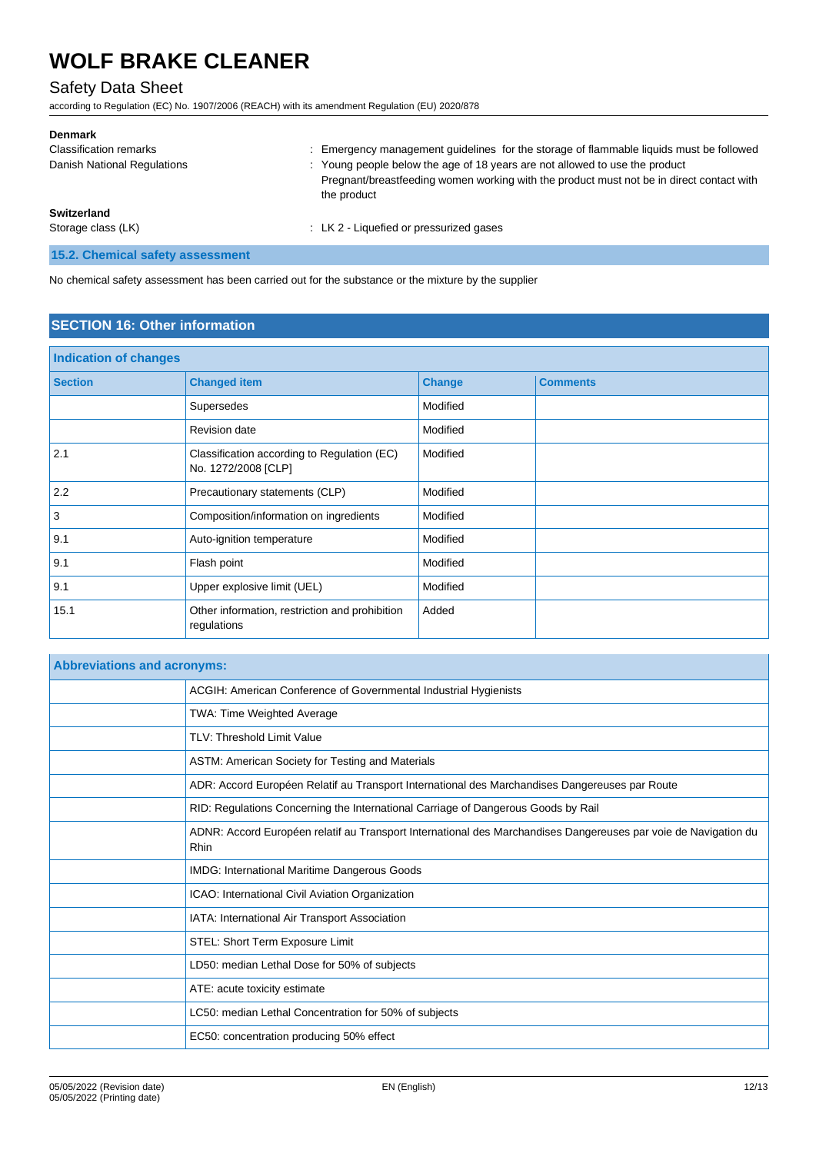## Safety Data Sheet

according to Regulation (EC) No. 1907/2006 (REACH) with its amendment Regulation (EU) 2020/878

| <b>Denmark</b>                   |                                                                                                                                                                                        |
|----------------------------------|----------------------------------------------------------------------------------------------------------------------------------------------------------------------------------------|
| <b>Classification remarks</b>    | Emergency management guidelines for the storage of flammable liquids must be followed                                                                                                  |
| Danish National Regulations      | : Young people below the age of 18 years are not allowed to use the product<br>Pregnant/breastfeeding women working with the product must not be in direct contact with<br>the product |
| Switzerland                      |                                                                                                                                                                                        |
| Storage class (LK)               | : LK 2 - Liquefied or pressurized gases                                                                                                                                                |
| 15.2. Chemical safety assessment |                                                                                                                                                                                        |

No chemical safety assessment has been carried out for the substance or the mixture by the supplier

## **SECTION 16: Other information**

| <b>Indication of changes</b> |                                                                    |               |                 |
|------------------------------|--------------------------------------------------------------------|---------------|-----------------|
| <b>Section</b>               | <b>Changed item</b>                                                | <b>Change</b> | <b>Comments</b> |
|                              | Supersedes                                                         | Modified      |                 |
|                              | <b>Revision date</b>                                               | Modified      |                 |
| 2.1                          | Classification according to Regulation (EC)<br>No. 1272/2008 [CLP] | Modified      |                 |
| 2.2                          | Precautionary statements (CLP)                                     | Modified      |                 |
| 3                            | Composition/information on ingredients                             | Modified      |                 |
| 9.1                          | Auto-ignition temperature                                          | Modified      |                 |
| 9.1                          | Flash point                                                        | Modified      |                 |
| 9.1                          | Upper explosive limit (UEL)                                        | Modified      |                 |
| 15.1                         | Other information, restriction and prohibition<br>regulations      | Added         |                 |

| <b>Abbreviations and acronyms:</b> |                                                                                                                         |  |  |
|------------------------------------|-------------------------------------------------------------------------------------------------------------------------|--|--|
|                                    | ACGIH: American Conference of Governmental Industrial Hygienists                                                        |  |  |
|                                    | <b>TWA: Time Weighted Average</b>                                                                                       |  |  |
|                                    | TLV: Threshold Limit Value                                                                                              |  |  |
|                                    | ASTM: American Society for Testing and Materials                                                                        |  |  |
|                                    | ADR: Accord Européen Relatif au Transport International des Marchandises Dangereuses par Route                          |  |  |
|                                    | RID: Regulations Concerning the International Carriage of Dangerous Goods by Rail                                       |  |  |
|                                    | ADNR: Accord Européen relatif au Transport International des Marchandises Dangereuses par voie de Navigation du<br>Rhin |  |  |
|                                    | IMDG: International Maritime Dangerous Goods                                                                            |  |  |
|                                    | ICAO: International Civil Aviation Organization                                                                         |  |  |
|                                    | IATA: International Air Transport Association                                                                           |  |  |
|                                    | STEL: Short Term Exposure Limit                                                                                         |  |  |
|                                    | LD50: median Lethal Dose for 50% of subjects                                                                            |  |  |
|                                    | ATE: acute toxicity estimate                                                                                            |  |  |
|                                    | LC50: median Lethal Concentration for 50% of subjects                                                                   |  |  |
|                                    | EC50: concentration producing 50% effect                                                                                |  |  |